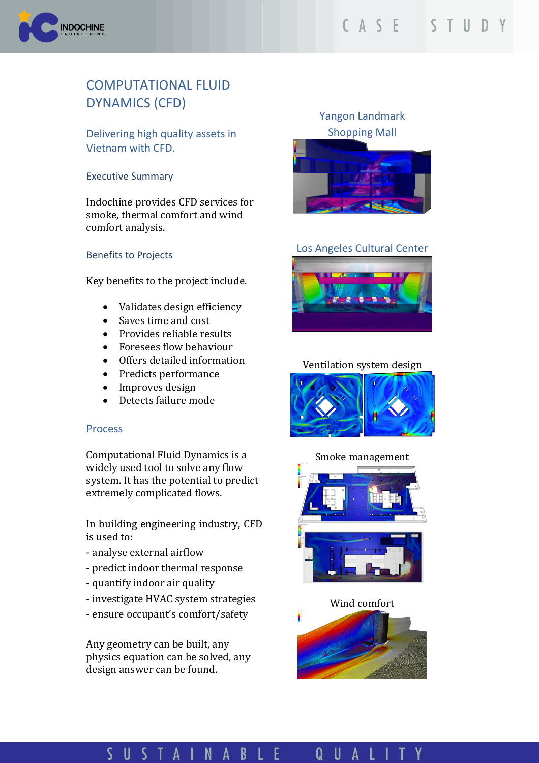

# COMPUTATIONAL FLUID DYNAMICS (CFD)

Delivering high quality assets in Vietnam with CFD.

Executive Summary

Indochine provides CFD services for smoke, thermal comfort and wind comfort analysis.

#### Benefits to Projects

Key benefits to the project include.

- Validates design efficiency
- Saves time and cost
- Provides reliable results
- Foresees flow behaviour
- Offers detailed information
- Predicts performance
- Improves design
- Detects failure mode

#### Process

Computational Fluid Dynamics is a widely used tool to solve any flow system. It has the potential to predict extremely complicated flows.

In building engineering industry, CFD is used to:

- analyse external airflow
- predict indoor thermal response
- quantify indoor air quality
- investigate HVAC system strategies
- ensure occupant's comfort/safety

Any geometry can be built, any physics equation can be solved, any design answer can be found.

## Yangon Landmark Shopping Mall



## Los Angeles Cultural Center



### Ventilation system design



### Smoke management



#### Wind comfort



#### USTAINAB UALI S E Q